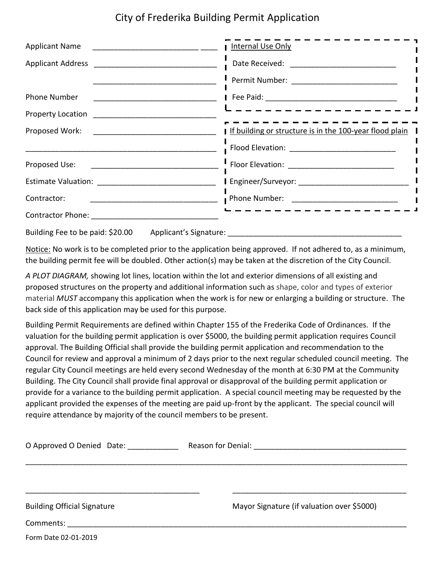## City of Frederika Building Permit Application

|                                                                                                                                                                                                                                                                     | I Internal Use Only                                         |
|---------------------------------------------------------------------------------------------------------------------------------------------------------------------------------------------------------------------------------------------------------------------|-------------------------------------------------------------|
|                                                                                                                                                                                                                                                                     |                                                             |
|                                                                                                                                                                                                                                                                     |                                                             |
| <b>Phone Number</b>                                                                                                                                                                                                                                                 |                                                             |
| <b>Property Location</b> Property Location                                                                                                                                                                                                                          | ------------------                                          |
| Proposed Work:                                                                                                                                                                                                                                                      | I If building or structure is in the 100-year flood plain I |
|                                                                                                                                                                                                                                                                     |                                                             |
| Proposed Use:                                                                                                                                                                                                                                                       |                                                             |
|                                                                                                                                                                                                                                                                     |                                                             |
| Contractor:                                                                                                                                                                                                                                                         |                                                             |
|                                                                                                                                                                                                                                                                     | - - - - - - - - - - - - - - - - - -                         |
| $\sim$ 0.000 $\sim$ 0.000 $\sim$ 0.000 $\sim$ 0.000 $\sim$ 0.000 $\sim$ 0.000 $\sim$ 0.000 $\sim$ 0.000 $\sim$ 0.000 $\sim$ 0.000 $\sim$ 0.000 $\sim$ 0.000 $\sim$ 0.000 $\sim$ 0.000 $\sim$ 0.000 $\sim$ 0.000 $\sim$ 0.000 $\sim$ 0.000 $\sim$ 0.000 $\sim$ 0.000 |                                                             |

Building Fee to be paid: \$20.00 Applicant's Signature:

Notice: No work is to be completed prior to the application being approved. If not adhered to, as a minimum, the building permit fee will be doubled. Other action(s) may be taken at the discretion of the City Council.

*A PLOT DIAGRAM,* showing lot lines, location within the lot and exterior dimensions of all existing and proposed structures on the property and additional information such as shape, color and types of exterior material *MUST* accompany this application when the work is for new or enlarging a building or structure. The back side of this application may be used for this purpose.

Building Permit Requirements are defined within Chapter 155 of the Frederika Code of Ordinances. If the valuation for the building permit application is over \$5000, the building permit application requires Council approval. The Building Official shall provide the building permit application and recommendation to the Council for review and approval a minimum of 2 days prior to the next regular scheduled council meeting. The regular City Council meetings are held every second Wednesday of the month at 6:30 PM at the Community Building. The City Council shall provide final approval or disapproval of the building permit application or provide for a variance to the building permit application. A special council meeting may be requested by the applicant provided the expenses of the meeting are paid up-front by the applicant. The special council will require attendance by majority of the council members to be present.

| O Approved O Denied Date:          | Reason for Denial: Neason for Denial:      |
|------------------------------------|--------------------------------------------|
|                                    |                                            |
| <b>Building Official Signature</b> | Mayor Signature (if valuation over \$5000) |
| Comments:                          |                                            |

Form Date 02-01-2019